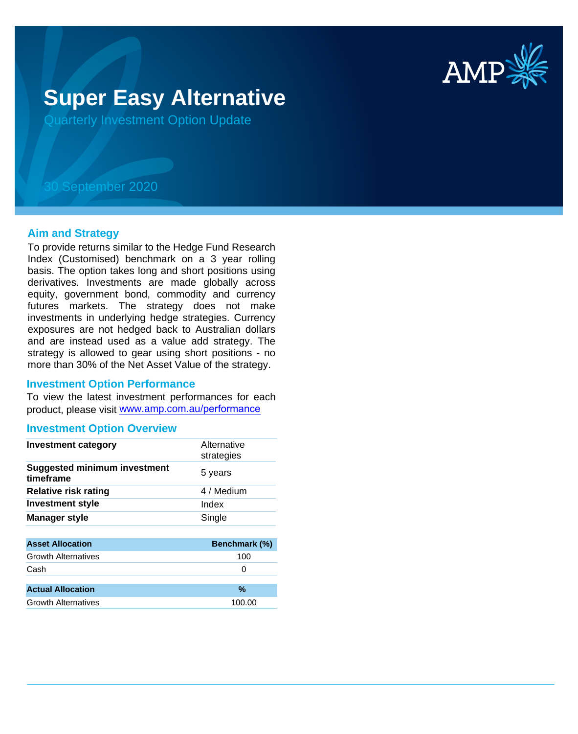

# **Super Easy Alternative**

Quarterly Investment Option Update

## 30 September 2020

#### **Aim and Strategy**

To provide returns similar to the Hedge Fund Research Index (Customised) benchmark on a 3 year rolling basis. The option takes long and short positions using derivatives. Investments are made globally across equity, government bond, commodity and currency futures markets. The strategy does not make investments in underlying hedge strategies. Currency exposures are not hedged back to Australian dollars and are instead used as a value add strategy. The strategy is allowed to gear using short positions - no more than 30% of the Net Asset Value of the strategy.

#### **Investment Option Performance**

To view the latest investment performances for each product, please visit www.amp.com.au/performance

#### **Investment Option Overview**

| <b>Investment category</b>                       | Alternative<br>strategies |
|--------------------------------------------------|---------------------------|
| <b>Suggested minimum investment</b><br>timeframe | 5 years                   |
| <b>Relative risk rating</b>                      | 4 / Medium                |
| <b>Investment style</b>                          | Index                     |
| <b>Manager style</b>                             | Single                    |
|                                                  |                           |
| <b>Asset Allocation</b>                          | Benchmark (%)             |
| <b>Growth Alternatives</b>                       | 100                       |
| Cash                                             | 0                         |
|                                                  |                           |
| <b>Actual Allocation</b>                         | $\%$                      |
| <b>Growth Alternatives</b>                       | 100.00                    |